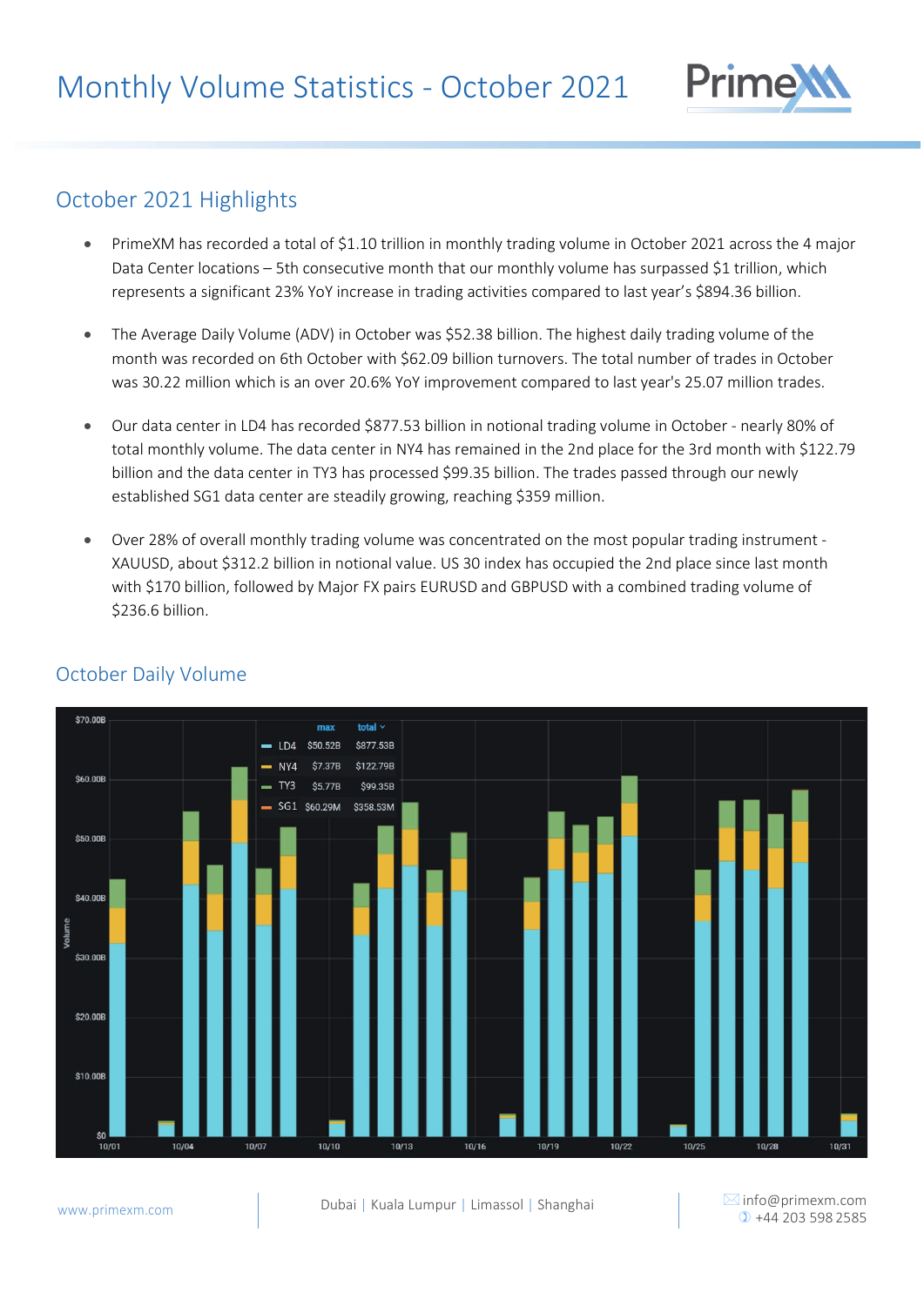

## October 2021 Highlights

- PrimeXM has recorded a total of \$1.10 trillion in monthly trading volume in October 2021 across the 4 major Data Center locations – 5th consecutive month that our monthly volume has surpassed \$1 trillion, which represents a significant 23% YoY increase in trading activities compared to last year's \$894.36 billion.
- The Average Daily Volume (ADV) in October was \$52.38 billion. The highest daily trading volume of the month was recorded on 6th October with \$62.09 billion turnovers. The total number of trades in October was 30.22 million which is an over 20.6% YoY improvement compared to last year's 25.07 million trades.
- Our data center in LD4 has recorded \$877.53 billion in notional trading volume in October nearly 80% of total monthly volume. The data center in NY4 has remained in the 2nd place for the 3rd month with \$122.79 billion and the data center in TY3 has processed \$99.35 billion. The trades passed through our newly established SG1 data center are steadily growing, reaching \$359 million.
- Over 28% of overall monthly trading volume was concentrated on the most popular trading instrument XAUUSD, about \$312.2 billion in notional value. US 30 index has occupied the 2nd place since last month with \$170 billion, followed by Major FX pairs EURUSD and GBPUSD with a combined trading volume of \$236.6 billion.



#### October Daily Volume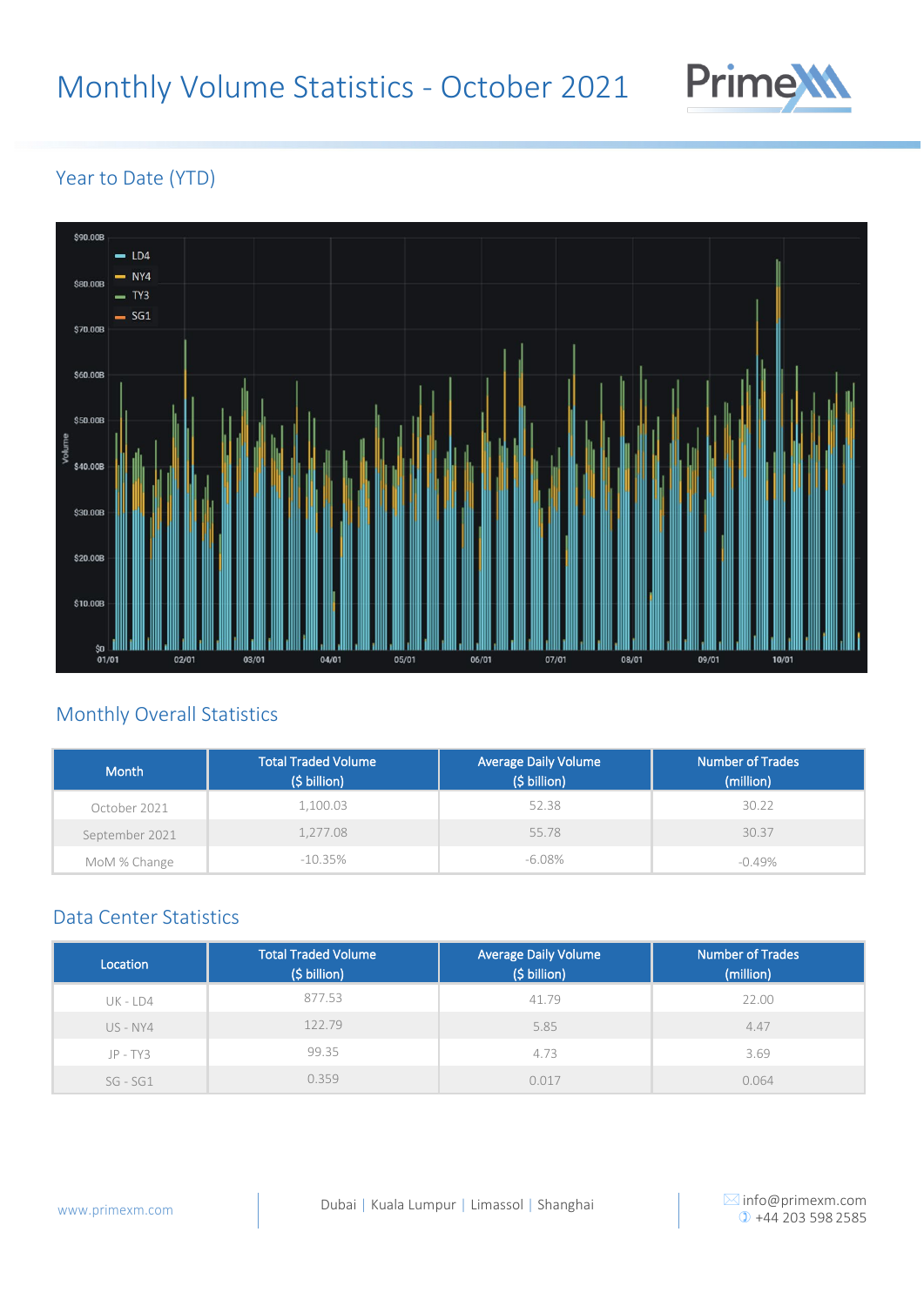# Monthly Volume Statistics - October 2021



#### Year to Date (YTD)



### Monthly Overall Statistics

| <b>Month</b>   | <b>Total Traded Volume</b><br>$(5 \text{ billion})$ | <b>Average Daily Volume</b><br>(\$ billion) | <b>Number of Trades</b><br>(million) |
|----------------|-----------------------------------------------------|---------------------------------------------|--------------------------------------|
| October 2021   | 1,100.03                                            | 52.38                                       | 30.22                                |
| September 2021 | 1,277.08                                            | 55.78                                       | 30.37                                |
| MoM % Change   | $-10.35%$                                           | $-6.08\%$                                   | $-0.49%$                             |

#### Data Center Statistics

| Location   | <b>Total Traded Volume</b><br>(\$ billion) | <b>Average Daily Volume</b><br>(\$ billion) | <b>Number of Trades</b><br>(million) |
|------------|--------------------------------------------|---------------------------------------------|--------------------------------------|
| UK - LD4   | 877.53                                     | 41.79                                       | 22.00                                |
| US - NY4   | 122.79                                     | 5.85                                        | 4.47                                 |
| $JP - TY3$ | 99.35                                      | 4.73                                        | 3.69                                 |
| $SG - SG1$ | 0.359                                      | 0.017                                       | 0.064                                |